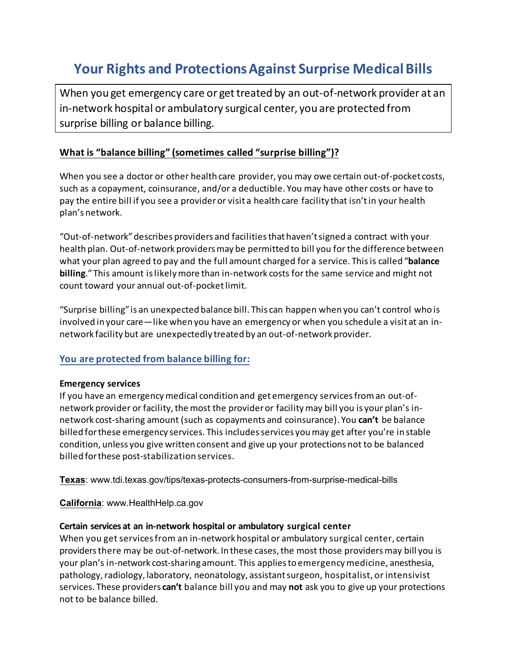# **Your Rights and Protections Against Surprise Medical Bills**

When you get emergency care or get treated by an out-of-network provider at an in-network hospital or ambulatory surgical center, you are protected from surprise billing or balance billing.

#### **What is "balance billing" (sometimes called "surprise billing")?**

When you see a doctor or other health care provider, you may owe certain out-of-pocket costs, such as a copayment, coinsurance, and/or a deductible. You may have other costs or have to pay the entire bill if you see a provider or visit a health care facility that isn't in your health plan's network.

"Out-of-network" describes providers and facilities that haven't signed a contract with your health plan. Out-of-network providersmay be permitted to bill you for the difference between what your plan agreed to pay and the full amount charged for a service. This is called "**balance billing**."This amount is likely more than in-network costs for the same service and might not count toward your annual out-of-pocketlimit.

"Surprise billing" is an unexpected balance bill. This can happen when you can't control who is involved in your care—like when you have an emergency or when you schedule a visit at an innetwork facility but are unexpectedly treated by an out-of-network provider.

#### **You are protected from balance billing for:**

#### **Emergency services**

If you have an emergency medical condition and get emergency services from an out-ofnetwork provider or facility, the most the provider or facility may bill you is your plan's innetwork cost-sharing amount (such as copayments and coinsurance). You **can't** be balance billed forthese emergency services. This includes services you may get after you're in stable condition, unless you give written consent and give up your protections not to be balanced billed for these post-stabilization services.

**Texas**: www.tdi.texas.gov/tips/texas-protects-consumers-from-surprise-medical-bills

**California**: www.HealthHelp.ca.gov

#### **Certain services at an in-network hospital or ambulatory surgical center**

When you get servicesfrom an in-network hospital or ambulatory surgical center, certain providers there may be out-of-network. In these cases, the most those providers may bill you is your plan's in-network cost-sharing amount. This applies to emergency medicine, anesthesia, pathology,radiology, laboratory, neonatology, assistant surgeon, hospitalist, or intensivist services. These providers **can't** balance bill you and may **not** ask you to give up your protections not to be balance billed.